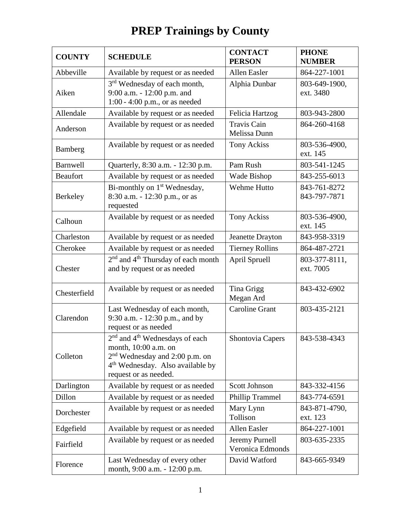## **COUNTY** SCHEDULE CONTACT **PERSON PHONE NUMBER** Abbeville Available by request or as needed  $\vert$  Allen Easler  $\vert$  864-227-1001 Aiken 3<sup>rd</sup> Wednesday of each month, 9:00 a.m. - 12:00 p.m. and 1:00 - 4:00 p.m., or as needed Alphia Dunbar | 803-649-1900, ext. 3480 Allendale Available by request or as needed Felicia Hartzog 803-943-2800 Anderson Available by request or as needed Travis Cain Melissa Dunn 864-260-4168 Bamberg Available by request or as needed Tony Ackiss 803-536-4900, ext. 145 Barnwell | Quarterly, 8:30 a.m. - 12:30 p.m. | Pam Rush | 803-541-1245 Beaufort Available by request or as needed | Wade Bishop | 843-255-6013 Berkeley Bi-monthly on 1<sup>st</sup> Wednesday, 8:30 a.m. - 12:30 p.m., or as requested Wehme Hutto | 843-761-8272 843-797-7871 Calhoun Available by request or as needed Tony Ackiss 803-536-4900, ext. 145 Charleston | Available by request or as needed | Jeanette Drayton | 843-958-3319 Cherokee Available by request or as needed Tierney Rollins | 864-487-2721 Chester 2<sup>nd</sup> and 4<sup>th</sup> Thursday of each month and by request or as needed April Spruell 803-377-8111, ext. 7005 Chesterfield Available by request or as needed Tina Grigg Megan Ard 843-432-6902 Clarendon Last Wednesday of each month, 9:30 a.m. - 12:30 p.m., and by request or as needed Caroline Grant | 803-435-2121 Colleton 2<sup>nd</sup> and 4<sup>th</sup> Wednesdays of each month, 10:00 a.m. on 2<sup>nd</sup> Wednesday and 2:00 p.m. on 4<sup>th</sup> Wednesday. Also available by request or as needed. Shontovia Capers  $\begin{array}{|l} \hline \end{array}$  843-538-4343 Darlington Available by request or as needed Scott Johnson 843-332-4156 Dillon Available by request or as needed Phillip Trammel 843-774-6591 Dorchester Available by request or as needed  $\begin{array}{c|c} \text{Mary Lynn} \end{array}$ Tollison 843-871-4790, ext. 123 Edgefield  $\vert$  Available by request or as needed  $\vert$  Allen Easler  $\vert$  864-227-1001 Fairfield Available by request or as needed Jeremy Purnell Veronica Edmonds 803-635-2335 Florence Last Wednesday of every other month, 9:00 a.m. - 12:00 p.m. David Watford | 843-665-9349

## **PREP Trainings by County**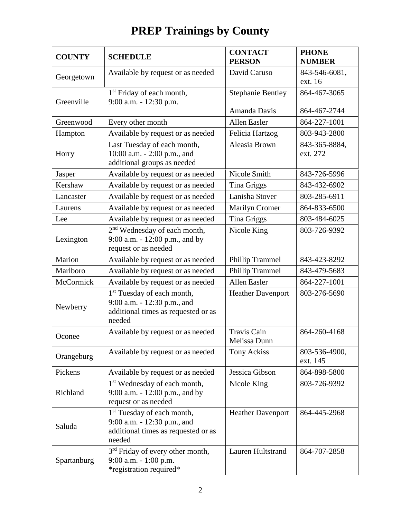## **PREP Trainings by County**

| <b>COUNTY</b> | <b>SCHEDULE</b>                                                                                                        | <b>CONTACT</b><br><b>PERSON</b>    | <b>PHONE</b><br><b>NUMBER</b> |
|---------------|------------------------------------------------------------------------------------------------------------------------|------------------------------------|-------------------------------|
| Georgetown    | Available by request or as needed                                                                                      | David Caruso                       | 843-546-6081,<br>ext. 16      |
| Greenville    | 1 <sup>st</sup> Friday of each month,<br>9:00 a.m. - 12:30 p.m.                                                        | <b>Stephanie Bentley</b>           | 864-467-3065                  |
|               |                                                                                                                        | Amanda Davis                       | 864-467-2744                  |
| Greenwood     | Every other month                                                                                                      | Allen Easler                       | 864-227-1001                  |
| Hampton       | Available by request or as needed                                                                                      | Felicia Hartzog                    | 803-943-2800                  |
| Horry         | Last Tuesday of each month,<br>10:00 a.m. - 2:00 p.m., and<br>additional groups as needed                              | Aleasia Brown                      | 843-365-8884,<br>ext. 272     |
| Jasper        | Available by request or as needed                                                                                      | Nicole Smith                       | 843-726-5996                  |
| Kershaw       | Available by request or as needed                                                                                      | Tina Griggs                        | 843-432-6902                  |
| Lancaster     | Available by request or as needed                                                                                      | Lanisha Stover                     | 803-285-6911                  |
| Laurens       | Available by request or as needed                                                                                      | Marilyn Cromer                     | 864-833-6500                  |
| Lee           | Available by request or as needed                                                                                      | Tina Griggs                        | 803-484-6025                  |
| Lexington     | 2 <sup>nd</sup> Wednesday of each month,<br>9:00 a.m. - 12:00 p.m., and by<br>request or as needed                     | Nicole King                        | 803-726-9392                  |
| Marion        | Available by request or as needed                                                                                      | <b>Phillip Trammel</b>             | 843-423-8292                  |
| Marlboro      | Available by request or as needed                                                                                      | Phillip Trammel                    | 843-479-5683                  |
| McCormick     | Available by request or as needed                                                                                      | Allen Easler                       | 864-227-1001                  |
| Newberry      | 1 <sup>st</sup> Tuesday of each month,<br>9:00 a.m. - 12:30 p.m., and<br>additional times as requested or as<br>needed | <b>Heather Davenport</b>           | 803-276-5690                  |
| Oconee        | Available by request or as needed                                                                                      | <b>Travis Cain</b><br>Melissa Dunn | 864-260-4168                  |
| Orangeburg    | Available by request or as needed                                                                                      | Tony Ackiss                        | 803-536-4900,<br>ext. 145     |
| Pickens       | Available by request or as needed                                                                                      | Jessica Gibson                     | 864-898-5800                  |
| Richland      | 1 <sup>st</sup> Wednesday of each month,<br>9:00 a.m. - 12:00 p.m., and by<br>request or as needed                     | Nicole King                        | 803-726-9392                  |
| Saluda        | 1 <sup>st</sup> Tuesday of each month,<br>9:00 a.m. - 12:30 p.m., and<br>additional times as requested or as<br>needed | <b>Heather Davenport</b>           | 864-445-2968                  |
| Spartanburg   | 3 <sup>rd</sup> Friday of every other month,<br>9:00 a.m. - 1:00 p.m.<br>*registration required*                       | Lauren Hultstrand                  | 864-707-2858                  |